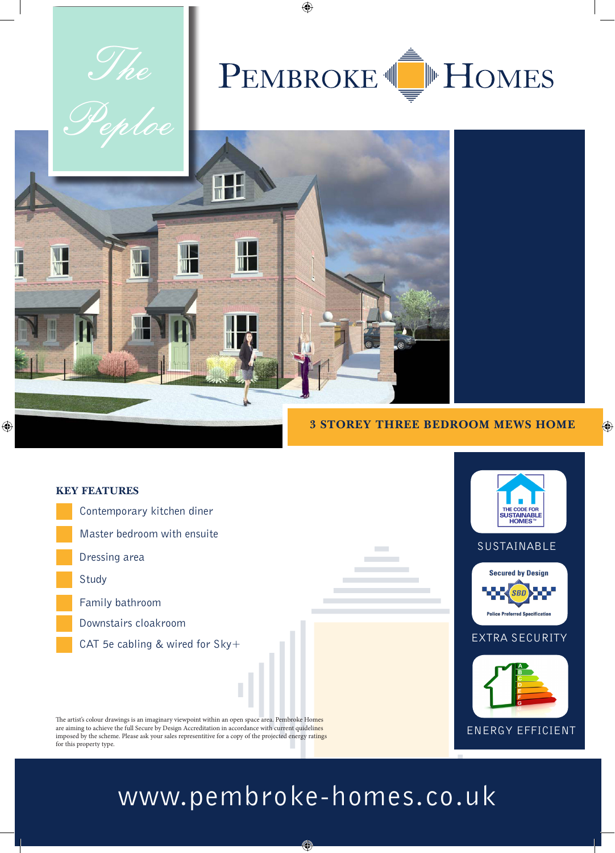

## **3 STOREY THREE BEDROOM MEWS HOME**

 $\bigoplus$ 



## www.pembroke-homes.co.uk

◈